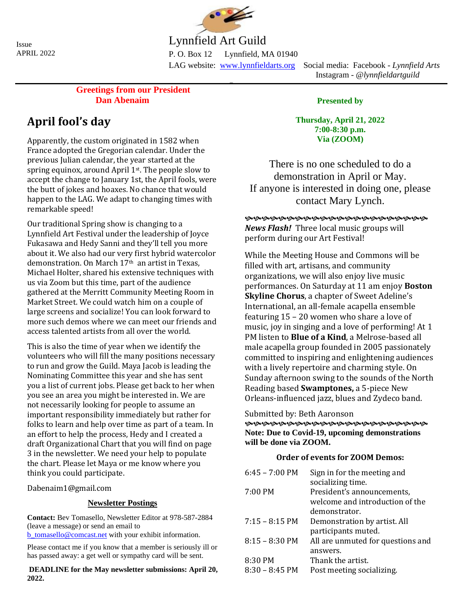Issue APRIL 2022



Lynnfield Art Guild

P. O. Box 12 Lynnfield, MA 01940

 $\overline{a}$ 

LAG website: [www.lynnfieldarts.org](about:blank) Social media: Facebook - *Lynnfield Arts* Instagram - *@lynnfieldartguild*

**Greetings from our President Dan Abenaim**

# **April fool's day**

Apparently, the custom originated in 1582 when France adopted the Gregorian calendar. Under the previous Julian calendar, the year started at the spring equinox, around April 1<sup>st</sup>. The people slow to accept the change to January 1st, the April fools, were the butt of jokes and hoaxes. No chance that would happen to the LAG. We adapt to changing times with remarkable speed!

Our traditional Spring show is changing to a Lynnfield Art Festival under the leadership of Joyce Fukasawa and Hedy Sanni and they'll tell you more about it. We also had our very first hybrid watercolor demonstration. On March 17th an artist in Texas, Michael Holter, shared his extensive techniques with us via Zoom but this time, part of the audience gathered at the Merritt Community Meeting Room in Market Street. We could watch him on a couple of large screens and socialize! You can look forward to more such demos where we can meet our friends and access talented artists from all over the world.

This is also the time of year when we identify the volunteers who will fill the many positions necessary to run and grow the Guild. Maya Jacob is leading the Nominating Committee this year and she has sent you a list of current jobs. Please get back to her when you see an area you might be interested in. We are not necessarily looking for people to assume an important responsibility immediately but rather for folks to learn and help over time as part of a team. In an effort to help the process, Hedy and I created a draft Organizational Chart that you will find on page 3 in the newsletter. We need your help to populate the chart. Please let Maya or me know where you think you could participate.

Dabenaim1@gmail.com

## **Newsletter Postings**

**Contact:** Bev Tomasello, Newsletter Editor at 978-587-2884 (leave a message) or send an email to [b\\_tomasello@comcast.net](about:blank) with your exhibit information.

Please contact me if you know that a member is seriously ill or has passed away: a get well or sympathy card will be sent.

**DEADLINE for the May newsletter submissions: April 20, 2022.**

**Presented by**

**Thursday, April 21, 2022 7:00-8:30 p.m. Via (ZOOM)**

There is no one scheduled to do a demonstration in April or May. If anyone is interested in doing one, please contact Mary Lynch.

© *News Flash!* Three local music groups will perform during our Art Festival!

While the Meeting House and Commons will be filled with art, artisans, and community organizations, we will also enjoy live music performances. On Saturday at 11 am enjoy **Boston Skyline Chorus**, a chapter of Sweet Adeline's International, an all-female acapella ensemble featuring 15 – 20 women who share a love of music, joy in singing and a love of performing! At 1 PM listen to **Blue of a Kind**, a Melrose-based all male acapella group founded in 2005 passionately committed to inspiring and enlightening audiences with a lively repertoire and charming style. On Sunday afternoon swing to the sounds of the North Reading based **Swamptones,** a 5-piece New Orleans-influenced jazz, blues and Zydeco band.

Submitted by: Beth Aaronson

**დდდდდადდდადდადდადდადდა Note: Due to Covid-19, upcoming demonstrations will be done via ZOOM.**

## **Order of events for ZOOM Demos:**

| $6:45 - 7:00$ PM         | Sign in for the meeting and       |
|--------------------------|-----------------------------------|
|                          | socializing time.                 |
| 7:00 PM                  | President's announcements,        |
|                          | welcome and introduction of the   |
|                          | demonstrator.                     |
| $7:15 - 8:15$ PM         | Demonstration by artist. All      |
|                          | participants muted.               |
| $8:15 - 8:30 \text{ PM}$ | All are unmuted for questions and |
|                          | answers.                          |
| 8:30 PM                  | Thank the artist.                 |
| $8:30 - 8:45$ PM         | Post meeting socializing.         |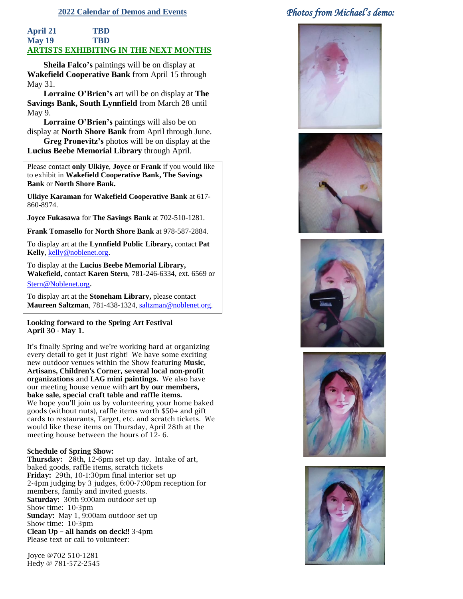#### **2022 Calendar of Demos and Events**

### **April 21 TBD May 19 TBD ARTISTS EXHIBITING IN THE NEXT MONTHS**

**Sheila Falco's** paintings will be on display at **Wakefield Cooperative Bank** from April 15 through May 31.

**Lorraine O'Brien's** art will be on display at **The Savings Bank, South Lynnfield** from March 28 until May 9.

**Lorraine O'Brien's** paintings will also be on display at **North Shore Bank** from April through June.

**Greg Pronevitz's** photos will be on display at the **Lucius Beebe Memorial Library** through April.

Please contact **only Ulkiye**, **Joyce** or **Frank** if you would like to exhibit in **Wakefield Cooperative Bank, The Savings Bank** or **North Shore Bank.**

**Ulkiye Karaman** for **Wakefield Cooperative Bank** at 617- 860-8974.

**Joyce Fukasawa** for **The Savings Bank** at 702-510-1281.

**Frank Tomasello** for **North Shore Bank** at 978-587-2884.

To display art at the **Lynnfield Public Library,** contact **Pat Kelly**, [kelly@noblenet.org.](about:blank)

To display at the **Lucius Beebe Memorial Library, Wakefield,** contact **Karen Stern**, 781-246-6334, ext. 6569 or [Stern@Noblenet.or](mailto:Stern@Noblenet.org)[g](mailto:Stern@Noblenet.org).

To display art at the **Stoneham Library,** please contact **Maureen Saltzman**, 781-438-1324, [saltzman@noblenet.org.](about:blank)

Looking forward to the Spring Art Festival April 30 - May 1.

It's finally Spring and we're working hard at organizing every detail to get it just right! We have some exciting new outdoor venues within the Show featuring Music, Artisans, Children's Corner, several local non-profit organizations and LAG mini paintings. We also have our meeting house venue with art by our members, bake sale, special craft table and raffle items. We hope you'll join us by volunteering your home baked goods (without nuts), raffle items worth \$50+ and gift cards to restaurants, Target, etc. and scratch tickets. We would like these items on Thursday, April 28th at the meeting house between the hours of 12- 6.

#### Schedule of Spring Show:

Thursday: 28th, 12-6pm set up day. Intake of art, baked goods, raffle items, scratch tickets Friday: 29th, 10-1:30pm final interior set up 2-4pm judging by 3 judges, 6:00-7:00pm reception for members, family and invited guests. Saturday: 30th 9:00am outdoor set up Show time: 10-3pm Sunday: May 1, 9:00am outdoor set up Show time: 10-3pm Clean Up – all hands on deck!! 3-4pm Please text or call to volunteer:

Joyce @702 510-1281 Hedy @ 781-572-2545

## *Photos from Michael's demo:*